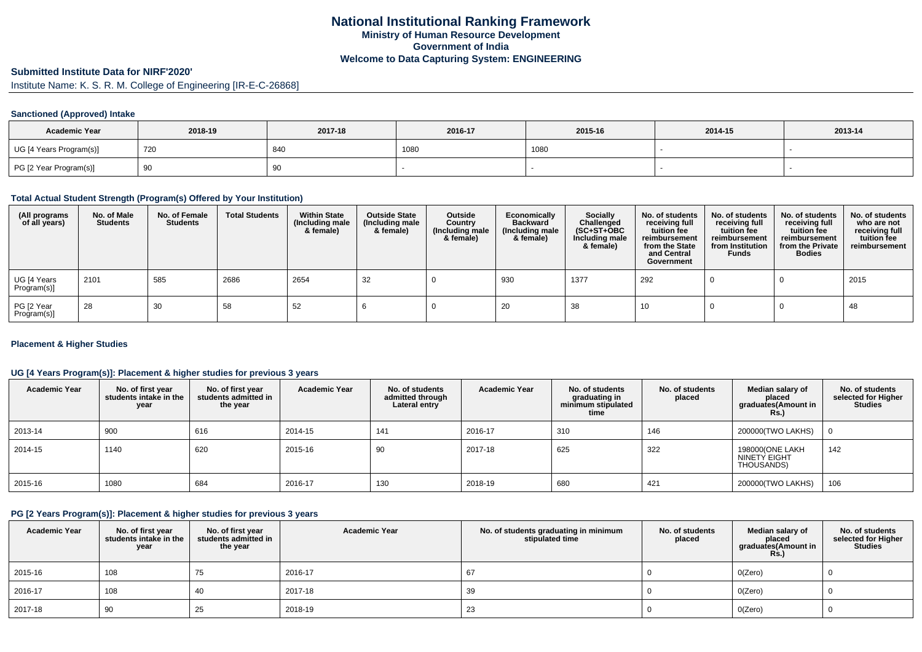## **Submitted Institute Data for NIRF'2020'**

Institute Name: K. S. R. M. College of Engineering [IR-E-C-26868]

#### **Sanctioned (Approved) Intake**

| <b>Academic Year</b>    | 2018-19 | 2017-18 | 2016-17 | 2015-16 | 2014-15 | 2013-14 |
|-------------------------|---------|---------|---------|---------|---------|---------|
| UG [4 Years Program(s)] | 720     | 840     | 1080    | 1080    |         |         |
| PG [2 Year Program(s)]  | ູບ      | ັບ      |         |         |         |         |

#### **Total Actual Student Strength (Program(s) Offered by Your Institution)**

| (All programs<br>of all years) | No. of Male<br><b>Students</b> | No. of Female<br><b>Students</b> | <b>Total Students</b> | <b>Within State</b><br>(Including male<br>& female) | <b>Outside State</b><br>(Including male<br>& female) | <b>Outside</b><br>Country<br>(Including male<br>& female) | Economically<br><b>Backward</b><br>(Including male<br>& female) | Socially<br>Challenged<br>$(SC+ST+OBC)$<br>Including male<br>& female) | No. of students<br>receiving full<br>tuition fee<br>reimbursement<br>from the State<br>and Central<br>Government | No. of students<br>receiving full<br>tuition fee<br>reimbursement<br>from Institution<br><b>Funds</b> | No. of students<br>receiving full<br>tuition fee<br>reimbursement<br>from the Private<br><b>Bodies</b> | No. of students<br>who are not<br>receiving full<br>tuition fee<br>reimbursement |
|--------------------------------|--------------------------------|----------------------------------|-----------------------|-----------------------------------------------------|------------------------------------------------------|-----------------------------------------------------------|-----------------------------------------------------------------|------------------------------------------------------------------------|------------------------------------------------------------------------------------------------------------------|-------------------------------------------------------------------------------------------------------|--------------------------------------------------------------------------------------------------------|----------------------------------------------------------------------------------|
| UG [4 Years<br>Program(s)]     | 2101                           | 585                              | 2686                  | 2654                                                | 32                                                   |                                                           | 930                                                             | 1377                                                                   | 292                                                                                                              |                                                                                                       |                                                                                                        | 2015                                                                             |
| PG [2 Year<br>Program(s)]      | 28                             | 30                               | 58                    | 52                                                  |                                                      |                                                           | 20                                                              | 38                                                                     | 10                                                                                                               |                                                                                                       |                                                                                                        | 48                                                                               |

#### **Placement & Higher Studies**

## **UG [4 Years Program(s)]: Placement & higher studies for previous 3 years**

| <b>Academic Year</b> | No. of first year<br>students intake in the<br>year | No. of first vear<br>students admitted in<br>the year | <b>Academic Year</b> | No. of students<br>admitted through<br>Lateral entry | <b>Academic Year</b> | No. of students<br>graduating in<br>minimum stipulated<br>time | No. of students<br>placed | Median salary of<br>placed<br>graduates(Amount in<br><b>Rs.)</b> | No. of students<br>selected for Higher<br><b>Studies</b> |
|----------------------|-----------------------------------------------------|-------------------------------------------------------|----------------------|------------------------------------------------------|----------------------|----------------------------------------------------------------|---------------------------|------------------------------------------------------------------|----------------------------------------------------------|
| 2013-14              | 900                                                 | 616                                                   | 2014-15              | 141                                                  | 2016-17              | 310                                                            | 146                       | 200000(TWO LAKHS)                                                |                                                          |
| 2014-15              | 1140                                                | 620                                                   | 2015-16              | 90                                                   | 2017-18              | 625                                                            | 322                       | 198000(ONE LAKH<br>NINETY EIGHT<br>THOUSANDS)                    | 142                                                      |
| 2015-16              | 1080                                                | 684                                                   | 2016-17              | 130                                                  | 2018-19              | 680                                                            | 421                       | 200000(TWO LAKHS)                                                | 106                                                      |

## **PG [2 Years Program(s)]: Placement & higher studies for previous 3 years**

| <b>Academic Year</b> | No. of first year<br>students intake in the<br>year | No. of first year<br>students admitted in<br>the year | <b>Academic Year</b> | No. of students graduating in minimum<br>stipulated time | No. of students<br>placed | Median salary of<br>placed<br>graduates(Amount in<br><b>Rs.)</b> | No. of students<br>selected for Higher<br>Studies |
|----------------------|-----------------------------------------------------|-------------------------------------------------------|----------------------|----------------------------------------------------------|---------------------------|------------------------------------------------------------------|---------------------------------------------------|
| 2015-16              | 108                                                 | 75                                                    | 2016-17              | 67                                                       |                           | O(Zero)                                                          |                                                   |
| 2016-17              | 108                                                 | 40                                                    | 2017-18              | 39                                                       |                           | O(Zero)                                                          |                                                   |
| 2017-18              | 90                                                  | 25                                                    | 2018-19              | 23                                                       |                           | O(Zero)                                                          |                                                   |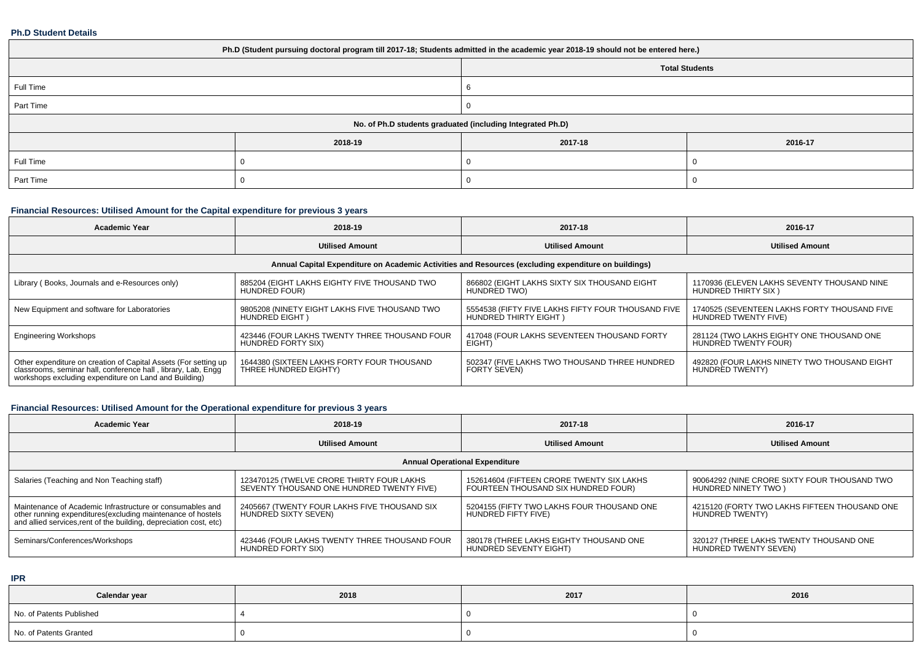#### **Ph.D Student Details**

| Ph.D (Student pursuing doctoral program till 2017-18; Students admitted in the academic year 2018-19 should not be entered here.) |         |         |         |  |  |  |  |
|-----------------------------------------------------------------------------------------------------------------------------------|---------|---------|---------|--|--|--|--|
| <b>Total Students</b>                                                                                                             |         |         |         |  |  |  |  |
| Full Time                                                                                                                         |         |         |         |  |  |  |  |
| Part Time                                                                                                                         |         |         |         |  |  |  |  |
| No. of Ph.D students graduated (including Integrated Ph.D)                                                                        |         |         |         |  |  |  |  |
|                                                                                                                                   | 2018-19 | 2017-18 | 2016-17 |  |  |  |  |
| Full Time                                                                                                                         |         |         |         |  |  |  |  |
| Part Time                                                                                                                         |         |         |         |  |  |  |  |

## **Financial Resources: Utilised Amount for the Capital expenditure for previous 3 years**

| <b>Academic Year</b>                                                                                                                                                                      | 2018-19                                                             | 2017-18                                                                     | 2016-17                                                              |  |  |  |  |  |  |
|-------------------------------------------------------------------------------------------------------------------------------------------------------------------------------------------|---------------------------------------------------------------------|-----------------------------------------------------------------------------|----------------------------------------------------------------------|--|--|--|--|--|--|
|                                                                                                                                                                                           | <b>Utilised Amount</b>                                              | <b>Utilised Amount</b>                                                      | <b>Utilised Amount</b>                                               |  |  |  |  |  |  |
| Annual Capital Expenditure on Academic Activities and Resources (excluding expenditure on buildings)                                                                                      |                                                                     |                                                                             |                                                                      |  |  |  |  |  |  |
| Library (Books, Journals and e-Resources only)                                                                                                                                            | 885204 (EIGHT LAKHS EIGHTY FIVE THOUSAND TWO<br>HUNDRED FOUR)       | 866802 (EIGHT LAKHS SIXTY SIX THOUSAND EIGHT<br>HUNDRED TWO)                | 1170936 (ELEVEN LAKHS SEVENTY THOUSAND NINE<br>HUNDRED THIRTY SIX)   |  |  |  |  |  |  |
| New Equipment and software for Laboratories                                                                                                                                               | 9805208 (NINETY EIGHT LAKHS FIVE THOUSAND TWO<br>HUNDRED EIGHT)     | 5554538 (FIFTY FIVE LAKHS FIFTY FOUR THOUSAND FIVE<br>HUNDRED THIRTY EIGHT) | 1740525 (SEVENTEEN LAKHS FORTY THOUSAND FIVE<br>HUNDRED TWENTY FIVE) |  |  |  |  |  |  |
| <b>Engineering Workshops</b>                                                                                                                                                              | 423446 (FOUR LAKHS TWENTY THREE THOUSAND FOUR<br>HUNDRED FORTY SIX) | 417048 (FOUR LAKHS SEVENTEEN THOUSAND FORTY<br>EIGHT)                       | 281124 (TWO LAKHS EIGHTY ONE THOUSAND ONE<br>HUNDRED TWENTY FOUR)    |  |  |  |  |  |  |
| Other expenditure on creation of Capital Assets (For setting up<br>classrooms, seminar hall, conference hall, library, Lab, Engg<br>workshops excluding expenditure on Land and Building) | 1644380 (SIXTEEN LAKHS FORTY FOUR THOUSAND<br>THREE HUNDRED EIGHTY) | 502347 (FIVE LAKHS TWO THOUSAND THREE HUNDRED<br>FORTY SEVEN)               | 492820 (FOUR LAKHS NINETY TWO THOUSAND EIGHT<br>HUNDRED TWENTY)      |  |  |  |  |  |  |

## **Financial Resources: Utilised Amount for the Operational expenditure for previous 3 years**

| <b>Academic Year</b>                                                                                                                                                                            | 2018-19                                                                                | 2017-18                                                                          | 2016-17                                                              |  |  |  |  |  |  |
|-------------------------------------------------------------------------------------------------------------------------------------------------------------------------------------------------|----------------------------------------------------------------------------------------|----------------------------------------------------------------------------------|----------------------------------------------------------------------|--|--|--|--|--|--|
|                                                                                                                                                                                                 | <b>Utilised Amount</b>                                                                 | <b>Utilised Amount</b>                                                           |                                                                      |  |  |  |  |  |  |
| <b>Annual Operational Expenditure</b>                                                                                                                                                           |                                                                                        |                                                                                  |                                                                      |  |  |  |  |  |  |
| Salaries (Teaching and Non Teaching staff)                                                                                                                                                      | 123470125 (TWELVE CRORE THIRTY FOUR LAKHS<br>SEVENTY THOUSAND ONE HUNDRED TWENTY FIVE) | 152614604 (FIFTEEN CRORE TWENTY SIX LAKHS<br>FOURTEEN THOUSAND SIX HUNDRED FOUR) | 90064292 (NINE CRORE SIXTY FOUR THOUSAND TWO<br>HUNDRED NINETY TWO ) |  |  |  |  |  |  |
| Maintenance of Academic Infrastructure or consumables and<br>other running expenditures (excluding maintenance of hostels<br>and allied services, rent of the building, depreciation cost, etc) | 2405667 (TWENTY FOUR LAKHS FIVE THOUSAND SIX<br>HUNDRED SIXTY SEVEN)                   | 5204155 (FIFTY TWO LAKHS FOUR THOUSAND ONE<br>HUNDRED FIFTY FIVE)                | 4215120 (FORTY TWO LAKHS FIFTEEN THOUSAND ONE<br>HUNDRED TWENTY)     |  |  |  |  |  |  |
| Seminars/Conferences/Workshops                                                                                                                                                                  | 423446 (FOUR LAKHS TWENTY THREE THOUSAND FOUR<br>HUNDRED FORTY SIX)                    | 380178 (THREE LAKHS EIGHTY THOUSAND ONE<br>HUNDRED SEVENTY EIGHT)                | 320127 (THREE LAKHS TWENTY THOUSAND ONE<br>HUNDRED TWENTY SEVEN)     |  |  |  |  |  |  |

**IPR**

| Calendar year            | 2018 | 2017 | 2016 |
|--------------------------|------|------|------|
| No. of Patents Published |      |      |      |
| No. of Patents Granted   |      |      |      |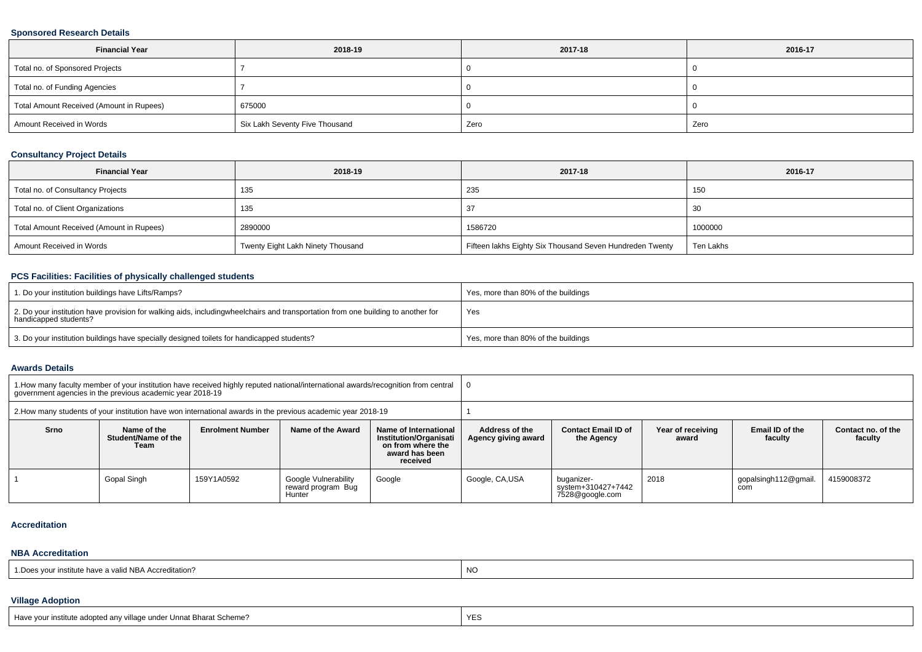## **Sponsored Research Details**

| <b>Financial Year</b>                    | 2018-19                        | 2017-18 | 2016-17 |
|------------------------------------------|--------------------------------|---------|---------|
| Total no. of Sponsored Projects          |                                |         |         |
| Total no. of Funding Agencies            |                                |         |         |
| Total Amount Received (Amount in Rupees) | 675000                         |         |         |
| Amount Received in Words                 | Six Lakh Seventy Five Thousand | Zero    | Zero    |

# **Consultancy Project Details**

| <b>Financial Year</b>                    | 2018-19                           | 2017-18                                                  | 2016-17   |
|------------------------------------------|-----------------------------------|----------------------------------------------------------|-----------|
| Total no. of Consultancy Projects        | 135                               | 235                                                      | 150       |
| Total no. of Client Organizations        | 135                               |                                                          | -30       |
| Total Amount Received (Amount in Rupees) | 2890000                           | 1586720                                                  | 1000000   |
| Amount Received in Words                 | Twenty Eight Lakh Ninety Thousand | Fifteen lakhs Eighty Six Thousand Seven Hundreden Twenty | Ten Lakhs |

# **PCS Facilities: Facilities of physically challenged students**

| 1. Do your institution buildings have Lifts/Ramps?                                                                                                        | Yes, more than 80% of the buildings |
|-----------------------------------------------------------------------------------------------------------------------------------------------------------|-------------------------------------|
| 2. Do your institution have provision for walking aids, includingwheelchairs and transportation from one building to another for<br>handicapped students? | Yes                                 |
| 3. Do your institution buildings have specially designed toilets for handicapped students?                                                                | Yes, more than 80% of the buildings |

#### **Awards Details**

|                                                                                                              | 1. How many faculty member of your institution have received highly reputed national/international awards/recognition from central<br>government agencies in the previous academic year 2018-19 |                         |                                                      |                                                                                                    |                                       |                                                     |                            |                             |                               |
|--------------------------------------------------------------------------------------------------------------|-------------------------------------------------------------------------------------------------------------------------------------------------------------------------------------------------|-------------------------|------------------------------------------------------|----------------------------------------------------------------------------------------------------|---------------------------------------|-----------------------------------------------------|----------------------------|-----------------------------|-------------------------------|
| 2. How many students of your institution have won international awards in the previous academic year 2018-19 |                                                                                                                                                                                                 |                         |                                                      |                                                                                                    |                                       |                                                     |                            |                             |                               |
| <b>Srno</b>                                                                                                  | Name of the<br>Student/Name of the<br>Team                                                                                                                                                      | <b>Enrolment Number</b> | Name of the Award                                    | Name of International<br>Institution/Organisati<br>on from where the<br>award has been<br>received | Address of the<br>Agency giving award | <b>Contact Email ID of</b><br>the Agency            | Year of receiving<br>award | Email ID of the<br>faculty  | Contact no. of the<br>faculty |
|                                                                                                              | Gopal Singh                                                                                                                                                                                     | 159Y1A0592              | Google Vulnerability<br>reward program Bug<br>Hunter | Google                                                                                             | Google, CA,USA                        | buganizer-<br>system+310427+7442<br>7528@google.com | 2018                       | gopalsingh112@gmail.<br>com | 4159008372                    |

#### **Accreditation**

#### **NBA Accreditation**

| <sup>i</sup> d NBA Accreditation?<br>1.Does vour institute have a valid. | NO. |
|--------------------------------------------------------------------------|-----|
|--------------------------------------------------------------------------|-----|

#### **Village Adoption**

| Have your institute adopted any village under Unnat Bharat Scheme? | <b>YES</b> |  |
|--------------------------------------------------------------------|------------|--|
|                                                                    |            |  |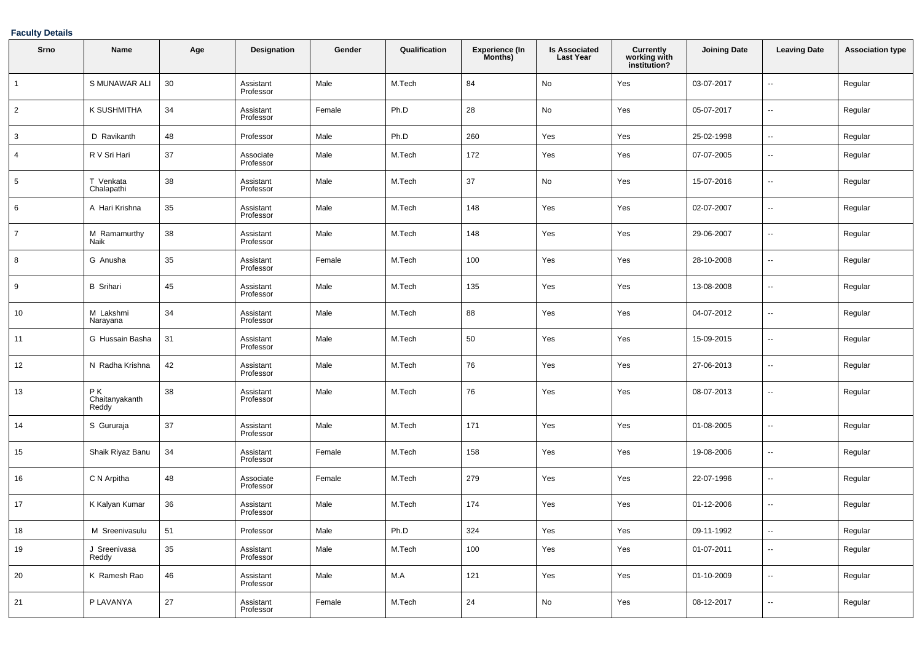## **Faculty Details**

| Srno           | Name                           | Age | Designation            | Gender | Qualification | <b>Experience (In</b><br>Months) | <b>Is Associated</b><br><b>Last Year</b> | <b>Currently</b><br>working with<br>institution? | <b>Joining Date</b> | <b>Leaving Date</b>      | <b>Association type</b> |
|----------------|--------------------------------|-----|------------------------|--------|---------------|----------------------------------|------------------------------------------|--------------------------------------------------|---------------------|--------------------------|-------------------------|
| $\mathbf{1}$   | S MUNAWAR ALI                  | 30  | Assistant<br>Professor | Male   | M.Tech        | 84                               | No                                       | Yes                                              | 03-07-2017          | Ξ.                       | Regular                 |
| $\overline{c}$ | <b>K SUSHMITHA</b>             | 34  | Assistant<br>Professor | Female | Ph.D          | 28                               | No                                       | Yes                                              | 05-07-2017          | $\overline{\phantom{a}}$ | Regular                 |
| 3              | D Ravikanth                    | 48  | Professor              | Male   | Ph.D          | 260                              | Yes                                      | Yes                                              | 25-02-1998          | $\overline{\phantom{a}}$ | Regular                 |
| 4              | R V Sri Hari                   | 37  | Associate<br>Professor | Male   | M.Tech        | 172                              | Yes                                      | Yes                                              | 07-07-2005          | --                       | Regular                 |
| 5              | T Venkata<br>Chalapathi        | 38  | Assistant<br>Professor | Male   | M.Tech        | 37                               | No                                       | Yes                                              | 15-07-2016          | $\overline{\phantom{a}}$ | Regular                 |
| 6              | A Hari Krishna                 | 35  | Assistant<br>Professor | Male   | M.Tech        | 148                              | Yes                                      | Yes                                              | 02-07-2007          | $\overline{\phantom{a}}$ | Regular                 |
|                | M Ramamurthy<br>Naik           | 38  | Assistant<br>Professor | Male   | M.Tech        | 148                              | Yes                                      | Yes                                              | 29-06-2007          | --                       | Regular                 |
| 8              | G Anusha                       | 35  | Assistant<br>Professor | Female | M.Tech        | 100                              | Yes                                      | Yes                                              | 28-10-2008          | $\overline{\phantom{a}}$ | Regular                 |
| 9              | <b>B</b> Srihari               | 45  | Assistant<br>Professor | Male   | M.Tech        | 135                              | Yes                                      | Yes                                              | 13-08-2008          | $\overline{\phantom{a}}$ | Regular                 |
| 10             | M Lakshmi<br>Narayana          | 34  | Assistant<br>Professor | Male   | M.Tech        | 88                               | Yes                                      | Yes                                              | 04-07-2012          | --                       | Regular                 |
| 11             | G Hussain Basha                | 31  | Assistant<br>Professor | Male   | M.Tech        | 50                               | Yes                                      | Yes                                              | 15-09-2015          | $\overline{\phantom{a}}$ | Regular                 |
| 12             | N Radha Krishna                | 42  | Assistant<br>Professor | Male   | M.Tech        | 76                               | Yes                                      | Yes                                              | 27-06-2013          | $\overline{\phantom{a}}$ | Regular                 |
| 13             | P K<br>Chaitanyakanth<br>Reddy | 38  | Assistant<br>Professor | Male   | M.Tech        | 76                               | Yes                                      | Yes                                              | 08-07-2013          | --                       | Regular                 |
| 14             | S Gururaja                     | 37  | Assistant<br>Professor | Male   | M.Tech        | 171                              | Yes                                      | Yes                                              | 01-08-2005          | --                       | Regular                 |
| 15             | Shaik Riyaz Banu               | 34  | Assistant<br>Professor | Female | M.Tech        | 158                              | Yes                                      | Yes                                              | 19-08-2006          | $\overline{\phantom{a}}$ | Regular                 |
| 16             | C N Arpitha                    | 48  | Associate<br>Professor | Female | M.Tech        | 279                              | Yes                                      | Yes                                              | 22-07-1996          | $\overline{\phantom{a}}$ | Regular                 |
| 17             | K Kalyan Kumar                 | 36  | Assistant<br>Professor | Male   | M.Tech        | 174                              | Yes                                      | Yes                                              | 01-12-2006          | $\overline{\phantom{a}}$ | Regular                 |
| 18             | M Sreenivasulu                 | 51  | Professor              | Male   | Ph.D          | 324                              | Yes                                      | Yes                                              | 09-11-1992          |                          | Regular                 |
| $19$           | J Sreenivasa<br>Reddy          | 35  | Assistant<br>Professor | Male   | M.Tech        | $100\,$                          | Yes                                      | Yes                                              | 01-07-2011          | $\overline{\phantom{a}}$ | Regular                 |
| 20             | K Ramesh Rao                   | 46  | Assistant<br>Professor | Male   | M.A           | 121                              | Yes                                      | Yes                                              | 01-10-2009          | $\overline{\phantom{a}}$ | Regular                 |
| 21             | P LAVANYA                      | 27  | Assistant<br>Professor | Female | M.Tech        | $24\,$                           | $\mathsf{No}$                            | Yes                                              | 08-12-2017          | $\overline{\phantom{a}}$ | Regular                 |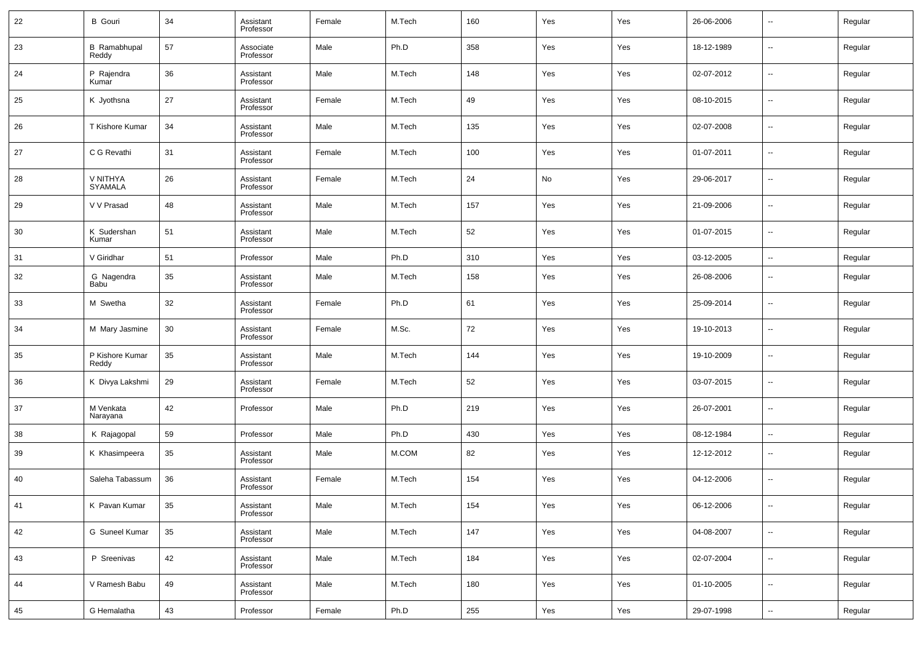| 22   | <b>B</b> Gouri               | 34 | Assistant<br>Professor | Female | M.Tech | 160 | Yes | Yes | 26-06-2006 | $\overline{\phantom{a}}$ | Regular |
|------|------------------------------|----|------------------------|--------|--------|-----|-----|-----|------------|--------------------------|---------|
| 23   | <b>B</b> Ramabhupal<br>Reddy | 57 | Associate<br>Professor | Male   | Ph.D   | 358 | Yes | Yes | 18-12-1989 | ۰.                       | Regular |
| 24   | P Rajendra<br>Kumar          | 36 | Assistant<br>Professor | Male   | M.Tech | 148 | Yes | Yes | 02-07-2012 | $\overline{\phantom{a}}$ | Regular |
| 25   | K Jyothsna                   | 27 | Assistant<br>Professor | Female | M.Tech | 49  | Yes | Yes | 08-10-2015 | --                       | Regular |
| 26   | T Kishore Kumar              | 34 | Assistant<br>Professor | Male   | M.Tech | 135 | Yes | Yes | 02-07-2008 | $\overline{\phantom{a}}$ | Regular |
| 27   | C G Revathi                  | 31 | Assistant<br>Professor | Female | M.Tech | 100 | Yes | Yes | 01-07-2011 | $\overline{\phantom{a}}$ | Regular |
| 28   | V NITHYA<br>SYAMALA          | 26 | Assistant<br>Professor | Female | M.Tech | 24  | No  | Yes | 29-06-2017 | $\overline{\phantom{a}}$ | Regular |
| 29   | V V Prasad                   | 48 | Assistant<br>Professor | Male   | M.Tech | 157 | Yes | Yes | 21-09-2006 | $\overline{\phantom{a}}$ | Regular |
| 30   | K Sudershan<br>Kumar         | 51 | Assistant<br>Professor | Male   | M.Tech | 52  | Yes | Yes | 01-07-2015 | $\overline{\phantom{a}}$ | Regular |
| 31   | V Giridhar                   | 51 | Professor              | Male   | Ph.D   | 310 | Yes | Yes | 03-12-2005 | $\overline{\phantom{a}}$ | Regular |
| 32   | G Nagendra<br>Babu           | 35 | Assistant<br>Professor | Male   | M.Tech | 158 | Yes | Yes | 26-08-2006 | $\overline{\phantom{a}}$ | Regular |
| 33   | M Swetha                     | 32 | Assistant<br>Professor | Female | Ph.D   | 61  | Yes | Yes | 25-09-2014 | $\overline{\phantom{a}}$ | Regular |
| 34   | M Mary Jasmine               | 30 | Assistant<br>Professor | Female | M.Sc.  | 72  | Yes | Yes | 19-10-2013 | $\overline{\phantom{a}}$ | Regular |
| 35   | P Kishore Kumar<br>Reddy     | 35 | Assistant<br>Professor | Male   | M.Tech | 144 | Yes | Yes | 19-10-2009 | $\overline{\phantom{a}}$ | Regular |
| 36   | K Divya Lakshmi              | 29 | Assistant<br>Professor | Female | M.Tech | 52  | Yes | Yes | 03-07-2015 | $\overline{\phantom{a}}$ | Regular |
| 37   | M Venkata<br>Narayana        | 42 | Professor              | Male   | Ph.D   | 219 | Yes | Yes | 26-07-2001 | $\overline{\phantom{a}}$ | Regular |
| 38   | K Rajagopal                  | 59 | Professor              | Male   | Ph.D   | 430 | Yes | Yes | 08-12-1984 | ۰.                       | Regular |
| 39   | K Khasimpeera                | 35 | Assistant<br>Professor | Male   | M.COM  | 82  | Yes | Yes | 12-12-2012 | $\overline{\phantom{a}}$ | Regular |
| 40   | Saleha Tabassum              | 36 | Assistant<br>Professor | Female | M.Tech | 154 | Yes | Yes | 04-12-2006 | $\overline{\phantom{a}}$ | Regular |
| - 41 | K Pavan Kumar                | 35 | Assistant<br>Professor | Male   | M.Tech | 154 | Yes | Yes | 06-12-2006 | $\overline{\phantom{a}}$ | Regular |
| 42   | G Suneel Kumar               | 35 | Assistant<br>Professor | Male   | M.Tech | 147 | Yes | Yes | 04-08-2007 | $\overline{\phantom{a}}$ | Regular |
| 43   | P Sreenivas                  | 42 | Assistant<br>Professor | Male   | M.Tech | 184 | Yes | Yes | 02-07-2004 | $\overline{\phantom{a}}$ | Regular |
| 44   | V Ramesh Babu                | 49 | Assistant<br>Professor | Male   | M.Tech | 180 | Yes | Yes | 01-10-2005 | $\overline{\phantom{a}}$ | Regular |
| 45   | G Hemalatha                  | 43 | Professor              | Female | Ph.D   | 255 | Yes | Yes | 29-07-1998 | $\overline{\phantom{a}}$ | Regular |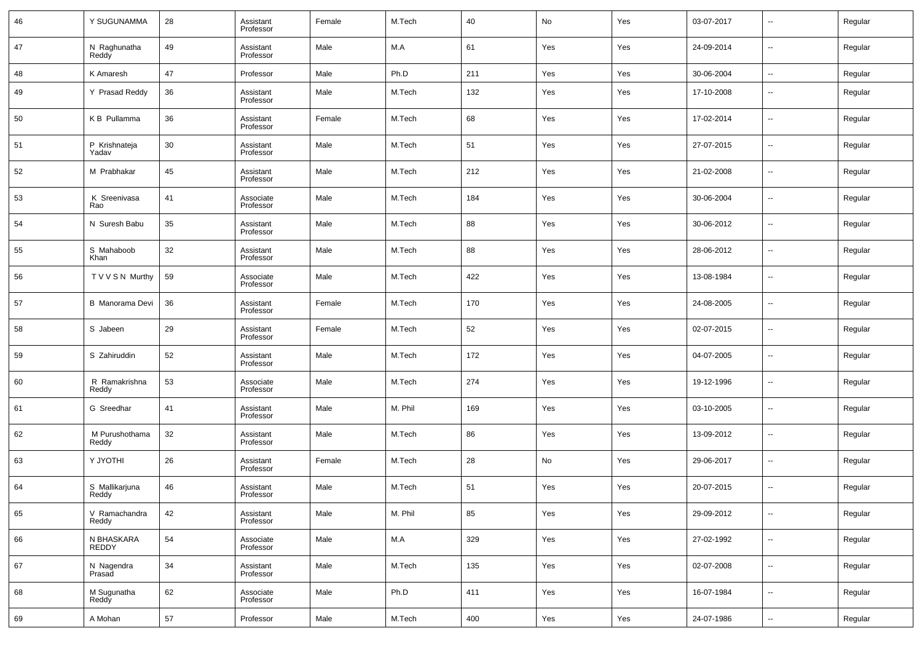| 46 | Y SUGUNAMMA             | 28         | Assistant<br>Professor | Female | M.Tech  | 40  | No  | Yes | 03-07-2017 | --                       | Regular |
|----|-------------------------|------------|------------------------|--------|---------|-----|-----|-----|------------|--------------------------|---------|
| 47 | N Raghunatha<br>Reddy   | 49         | Assistant<br>Professor | Male   | M.A     | 61  | Yes | Yes | 24-09-2014 | $\overline{\phantom{a}}$ | Regular |
| 48 | K Amaresh               | 47         | Professor              | Male   | Ph.D    | 211 | Yes | Yes | 30-06-2004 | $\overline{\phantom{a}}$ | Regular |
| 49 | Y Prasad Reddy          | 36         | Assistant<br>Professor | Male   | M.Tech  | 132 | Yes | Yes | 17-10-2008 | $\overline{\phantom{a}}$ | Regular |
| 50 | K B Pullamma            | 36         | Assistant<br>Professor | Female | M.Tech  | 68  | Yes | Yes | 17-02-2014 | $\overline{\phantom{a}}$ | Regular |
| 51 | P Krishnateja<br>Yadav  | 30         | Assistant<br>Professor | Male   | M.Tech  | 51  | Yes | Yes | 27-07-2015 | $\overline{\phantom{a}}$ | Regular |
| 52 | M Prabhakar             | 45         | Assistant<br>Professor | Male   | M.Tech  | 212 | Yes | Yes | 21-02-2008 | $\overline{\phantom{a}}$ | Regular |
| 53 | K Sreenivasa<br>Rao     | 41         | Associate<br>Professor | Male   | M.Tech  | 184 | Yes | Yes | 30-06-2004 | $\overline{\phantom{a}}$ | Regular |
| 54 | N Suresh Babu           | 35         | Assistant<br>Professor | Male   | M.Tech  | 88  | Yes | Yes | 30-06-2012 | $\overline{\phantom{a}}$ | Regular |
| 55 | S Mahaboob<br>Khan      | 32         | Assistant<br>Professor | Male   | M.Tech  | 88  | Yes | Yes | 28-06-2012 | $\overline{\phantom{a}}$ | Regular |
| 56 | T V V S N Murthy        | 59         | Associate<br>Professor | Male   | M.Tech  | 422 | Yes | Yes | 13-08-1984 | $\overline{\phantom{a}}$ | Regular |
| 57 | <b>B</b> Manorama Devi  | 36         | Assistant<br>Professor | Female | M.Tech  | 170 | Yes | Yes | 24-08-2005 | $\overline{\phantom{a}}$ | Regular |
| 58 | S Jabeen                | 29         | Assistant<br>Professor | Female | M.Tech  | 52  | Yes | Yes | 02-07-2015 | $\overline{\phantom{a}}$ | Regular |
| 59 | S Zahiruddin            | 52         | Assistant<br>Professor | Male   | M.Tech  | 172 | Yes | Yes | 04-07-2005 | $\overline{\phantom{a}}$ | Regular |
| 60 | R Ramakrishna<br>Reddy  | 53         | Associate<br>Professor | Male   | M.Tech  | 274 | Yes | Yes | 19-12-1996 | $\overline{\phantom{a}}$ | Regular |
| 61 | G Sreedhar              | 41         | Assistant<br>Professor | Male   | M. Phil | 169 | Yes | Yes | 03-10-2005 | $\overline{\phantom{a}}$ | Regular |
| 62 | M Purushothama<br>Reddy | 32         | Assistant<br>Professor | Male   | M.Tech  | 86  | Yes | Yes | 13-09-2012 | $\overline{\phantom{a}}$ | Regular |
| 63 | Y JYOTHI                | 26         | Assistant<br>Professor | Female | M.Tech  | 28  | No  | Yes | 29-06-2017 | $\overline{\phantom{a}}$ | Regular |
| 64 | S Mallikarjuna<br>Reddy | 46         | Assistant<br>Professor | Male   | M.Tech  | 51  | Yes | Yes | 20-07-2015 | $\overline{\phantom{a}}$ | Regular |
| 65 | V Ramachandra<br>Reddy  | 42         | Assistant<br>Professor | Male   | M. Phil | 85  | Yes | Yes | 29-09-2012 | ۰.                       | Regular |
| 66 | N BHASKARA<br>REDDY     | 54         | Associate<br>Professor | Male   | M.A     | 329 | Yes | Yes | 27-02-1992 | ۰.                       | Regular |
| 67 | N Nagendra<br>Prasad    | 34         | Assistant<br>Professor | Male   | M.Tech  | 135 | Yes | Yes | 02-07-2008 | ۰.                       | Regular |
| 68 | M Sugunatha<br>Reddy    | 62         | Associate<br>Professor | Male   | Ph.D    | 411 | Yes | Yes | 16-07-1984 | ۰.                       | Regular |
| 69 | A Mohan                 | ${\bf 57}$ | Professor              | Male   | M.Tech  | 400 | Yes | Yes | 24-07-1986 | $\overline{\phantom{a}}$ | Regular |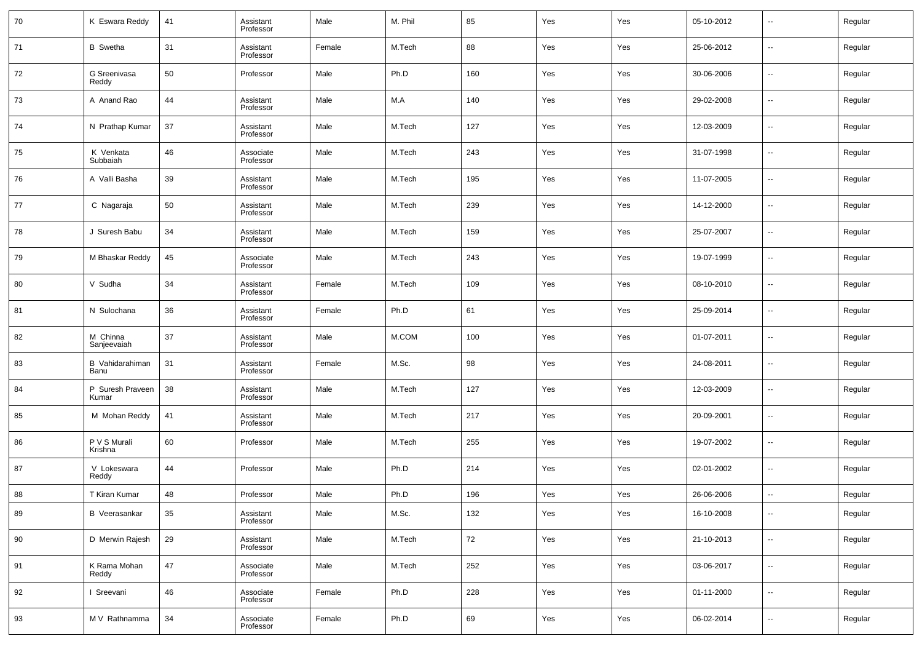| 70 | K Eswara Reddy            | 41     | Assistant<br>Professor | Male   | M. Phil | 85  | Yes | Yes | 05-10-2012 | $\sim$                   | Regular |
|----|---------------------------|--------|------------------------|--------|---------|-----|-----|-----|------------|--------------------------|---------|
| 71 | <b>B</b> Swetha           | 31     | Assistant<br>Professor | Female | M.Tech  | 88  | Yes | Yes | 25-06-2012 | --                       | Regular |
| 72 | G Sreenivasa<br>Reddy     | 50     | Professor              | Male   | Ph.D    | 160 | Yes | Yes | 30-06-2006 | $\overline{\phantom{a}}$ | Regular |
| 73 | A Anand Rao               | 44     | Assistant<br>Professor | Male   | M.A     | 140 | Yes | Yes | 29-02-2008 | --                       | Regular |
| 74 | N Prathap Kumar           | 37     | Assistant<br>Professor | Male   | M.Tech  | 127 | Yes | Yes | 12-03-2009 | $\overline{\phantom{a}}$ | Regular |
| 75 | K Venkata<br>Subbaiah     | 46     | Associate<br>Professor | Male   | M.Tech  | 243 | Yes | Yes | 31-07-1998 | --                       | Regular |
| 76 | A Valli Basha             | 39     | Assistant<br>Professor | Male   | M.Tech  | 195 | Yes | Yes | 11-07-2005 | ш,                       | Regular |
| 77 | C Nagaraja                | 50     | Assistant<br>Professor | Male   | M.Tech  | 239 | Yes | Yes | 14-12-2000 | --                       | Regular |
| 78 | J Suresh Babu             | 34     | Assistant<br>Professor | Male   | M.Tech  | 159 | Yes | Yes | 25-07-2007 | ш,                       | Regular |
| 79 | M Bhaskar Reddy           | 45     | Associate<br>Professor | Male   | M.Tech  | 243 | Yes | Yes | 19-07-1999 | --                       | Regular |
| 80 | V Sudha                   | 34     | Assistant<br>Professor | Female | M.Tech  | 109 | Yes | Yes | 08-10-2010 | ш,                       | Regular |
| 81 | N Sulochana               | 36     | Assistant<br>Professor | Female | Ph.D    | 61  | Yes | Yes | 25-09-2014 | --                       | Regular |
| 82 | M Chinna<br>Sanjeevaiah   | 37     | Assistant<br>Professor | Male   | M.COM   | 100 | Yes | Yes | 01-07-2011 | ш,                       | Regular |
| 83 | B Vahidarahiman<br>Banu   | 31     | Assistant<br>Professor | Female | M.Sc.   | 98  | Yes | Yes | 24-08-2011 | --                       | Regular |
| 84 | P Suresh Praveen<br>Kumar | 38     | Assistant<br>Professor | Male   | M.Tech  | 127 | Yes | Yes | 12-03-2009 | ш,                       | Regular |
| 85 | M Mohan Reddy             | 41     | Assistant<br>Professor | Male   | M.Tech  | 217 | Yes | Yes | 20-09-2001 | --                       | Regular |
| 86 | P V S Murali<br>Krishna   | 60     | Professor              | Male   | M.Tech  | 255 | Yes | Yes | 19-07-2002 | ш,                       | Regular |
| 87 | V Lokeswara<br>Reddy      | 44     | Professor              | Male   | Ph.D    | 214 | Yes | Yes | 02-01-2002 | --                       | Regular |
| 88 | T Kiran Kumar             | 48     | Professor              | Male   | Ph.D    | 196 | Yes | Yes | 26-06-2006 | $\overline{a}$           | Regular |
| 89 | <b>B</b> Veerasankar      | $35\,$ | Assistant<br>Professor | Male   | M.Sc.   | 132 | Yes | Yes | 16-10-2008 | $\sim$                   | Regular |
| 90 | D Merwin Rajesh           | 29     | Assistant<br>Professor | Male   | M.Tech  | 72  | Yes | Yes | 21-10-2013 | $\sim$                   | Regular |
| 91 | K Rama Mohan<br>Reddy     | 47     | Associate<br>Professor | Male   | M.Tech  | 252 | Yes | Yes | 03-06-2017 | $\sim$                   | Regular |
| 92 | I Sreevani                | 46     | Associate<br>Professor | Female | Ph.D    | 228 | Yes | Yes | 01-11-2000 | $\overline{\phantom{a}}$ | Regular |
| 93 | M V Rathnamma             | 34     | Associate<br>Professor | Female | Ph.D    | 69  | Yes | Yes | 06-02-2014 | $\sim$                   | Regular |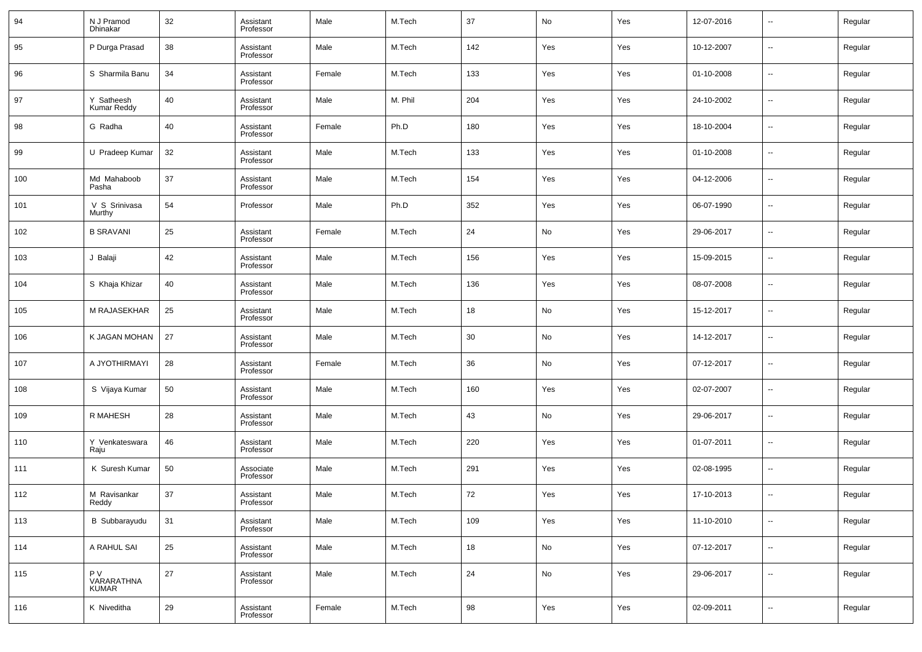| 94  | N J Pramod<br>Dhinakar          | 32 | Assistant<br>Professor | Male   | M.Tech  | 37     | No  | Yes | 12-07-2016 | --                       | Regular |
|-----|---------------------------------|----|------------------------|--------|---------|--------|-----|-----|------------|--------------------------|---------|
| 95  | P Durga Prasad                  | 38 | Assistant<br>Professor | Male   | M.Tech  | 142    | Yes | Yes | 10-12-2007 | --                       | Regular |
| 96  | S Sharmila Banu                 | 34 | Assistant<br>Professor | Female | M.Tech  | 133    | Yes | Yes | 01-10-2008 | --                       | Regular |
| 97  | Y Satheesh<br>Kumar Reddy       | 40 | Assistant<br>Professor | Male   | M. Phil | 204    | Yes | Yes | 24-10-2002 | $\sim$                   | Regular |
| 98  | G Radha                         | 40 | Assistant<br>Professor | Female | Ph.D    | 180    | Yes | Yes | 18-10-2004 | --                       | Regular |
| 99  | U Pradeep Kumar                 | 32 | Assistant<br>Professor | Male   | M.Tech  | 133    | Yes | Yes | 01-10-2008 | $\sim$                   | Regular |
| 100 | Md Mahaboob<br>Pasha            | 37 | Assistant<br>Professor | Male   | M.Tech  | 154    | Yes | Yes | 04-12-2006 | --                       | Regular |
| 101 | V S Srinivasa<br>Murthy         | 54 | Professor              | Male   | Ph.D    | 352    | Yes | Yes | 06-07-1990 | --                       | Regular |
| 102 | <b>B SRAVANI</b>                | 25 | Assistant<br>Professor | Female | M.Tech  | 24     | No  | Yes | 29-06-2017 | --                       | Regular |
| 103 | J Balaji                        | 42 | Assistant<br>Professor | Male   | M.Tech  | 156    | Yes | Yes | 15-09-2015 | --                       | Regular |
| 104 | S Khaja Khizar                  | 40 | Assistant<br>Professor | Male   | M.Tech  | 136    | Yes | Yes | 08-07-2008 | --                       | Regular |
| 105 | <b>M RAJASEKHAR</b>             | 25 | Assistant<br>Professor | Male   | M.Tech  | 18     | No  | Yes | 15-12-2017 | --                       | Regular |
| 106 | K JAGAN MOHAN                   | 27 | Assistant<br>Professor | Male   | M.Tech  | 30     | No  | Yes | 14-12-2017 | --                       | Regular |
| 107 | A JYOTHIRMAYI                   | 28 | Assistant<br>Professor | Female | M.Tech  | 36     | No  | Yes | 07-12-2017 | --                       | Regular |
| 108 | S Vijaya Kumar                  | 50 | Assistant<br>Professor | Male   | M.Tech  | 160    | Yes | Yes | 02-07-2007 | --                       | Regular |
| 109 | R MAHESH                        | 28 | Assistant<br>Professor | Male   | M.Tech  | 43     | No  | Yes | 29-06-2017 | --                       | Regular |
| 110 | Y Venkateswara<br>Raju          | 46 | Assistant<br>Professor | Male   | M.Tech  | 220    | Yes | Yes | 01-07-2011 | --                       | Regular |
| 111 | K Suresh Kumar                  | 50 | Associate<br>Professor | Male   | M.Tech  | 291    | Yes | Yes | 02-08-1995 | --                       | Regular |
| 112 | M Ravisankar<br>Reddy           | 37 | Assistant<br>Professor | Male   | M.Tech  | 72     | Yes | Yes | 17-10-2013 | --                       | Regular |
| 113 | <b>B</b> Subbarayudu            | 31 | Assistant<br>Professor | Male   | M.Tech  | 109    | Yes | Yes | 11-10-2010 | $\sim$                   | Regular |
| 114 | A RAHUL SAI                     | 25 | Assistant<br>Professor | Male   | M.Tech  | 18     | No  | Yes | 07-12-2017 | $\sim$                   | Regular |
| 115 | P V<br>.<br>VARARATHNA<br>KUMAR | 27 | Assistant<br>Professor | Male   | M.Tech  | 24     | No  | Yes | 29-06-2017 | $\sim$                   | Regular |
| 116 | K Niveditha                     | 29 | Assistant<br>Professor | Female | M.Tech  | $98\,$ | Yes | Yes | 02-09-2011 | $\overline{\phantom{a}}$ | Regular |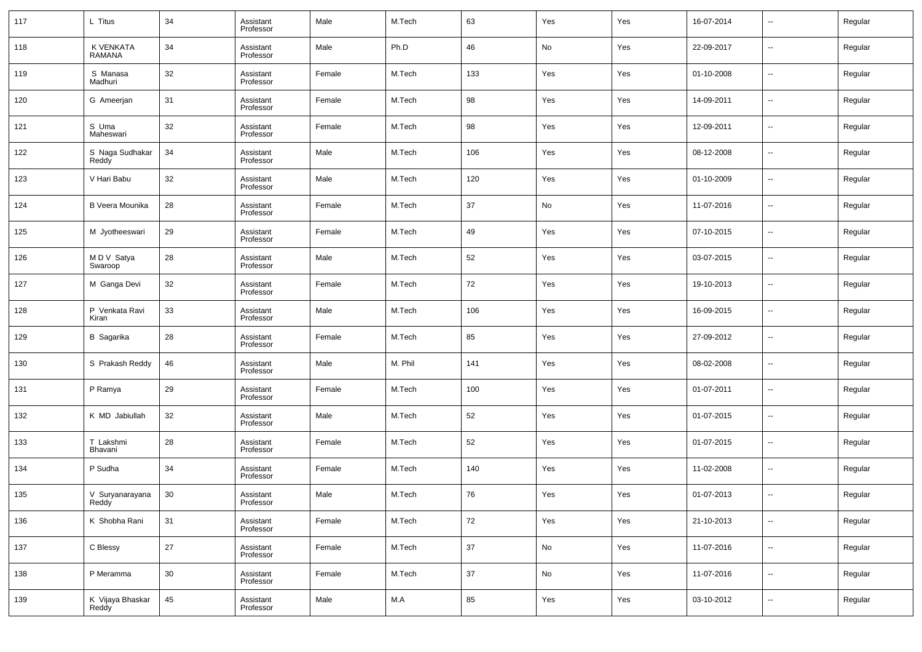| 117 | L Titus                    | 34 | Assistant<br>Professor | Male   | M.Tech  | 63     | Yes | Yes | 16-07-2014 | $\overline{\phantom{a}}$ | Regular |
|-----|----------------------------|----|------------------------|--------|---------|--------|-----|-----|------------|--------------------------|---------|
| 118 | K VENKATA<br><b>RAMANA</b> | 34 | Assistant<br>Professor | Male   | Ph.D    | 46     | No  | Yes | 22-09-2017 | $\overline{\phantom{a}}$ | Regular |
| 119 | S Manasa<br>Madhuri        | 32 | Assistant<br>Professor | Female | M.Tech  | 133    | Yes | Yes | 01-10-2008 | $\sim$                   | Regular |
| 120 | G Ameerjan                 | 31 | Assistant<br>Professor | Female | M.Tech  | 98     | Yes | Yes | 14-09-2011 | --                       | Regular |
| 121 | S Uma<br>Maheswari         | 32 | Assistant<br>Professor | Female | M.Tech  | 98     | Yes | Yes | 12-09-2011 | $\overline{\phantom{a}}$ | Regular |
| 122 | S Naga Sudhakar<br>Reddy   | 34 | Assistant<br>Professor | Male   | M.Tech  | 106    | Yes | Yes | 08-12-2008 | --                       | Regular |
| 123 | V Hari Babu                | 32 | Assistant<br>Professor | Male   | M.Tech  | 120    | Yes | Yes | 01-10-2009 | --                       | Regular |
| 124 | <b>B Veera Mounika</b>     | 28 | Assistant<br>Professor | Female | M.Tech  | 37     | No  | Yes | 11-07-2016 | $\overline{\phantom{a}}$ | Regular |
| 125 | M Jyotheeswari             | 29 | Assistant<br>Professor | Female | M.Tech  | 49     | Yes | Yes | 07-10-2015 | --                       | Regular |
| 126 | M D V Satya<br>Swaroop     | 28 | Assistant<br>Professor | Male   | M.Tech  | 52     | Yes | Yes | 03-07-2015 | $\overline{\phantom{a}}$ | Regular |
| 127 | M Ganga Devi               | 32 | Assistant<br>Professor | Female | M.Tech  | 72     | Yes | Yes | 19-10-2013 | --                       | Regular |
| 128 | P Venkata Ravi<br>Kiran    | 33 | Assistant<br>Professor | Male   | M.Tech  | 106    | Yes | Yes | 16-09-2015 | $\overline{\phantom{a}}$ | Regular |
| 129 | <b>B</b> Sagarika          | 28 | Assistant<br>Professor | Female | M.Tech  | 85     | Yes | Yes | 27-09-2012 | --                       | Regular |
| 130 | S Prakash Reddy            | 46 | Assistant<br>Professor | Male   | M. Phil | 141    | Yes | Yes | 08-02-2008 | --                       | Regular |
| 131 | P Ramya                    | 29 | Assistant<br>Professor | Female | M.Tech  | 100    | Yes | Yes | 01-07-2011 | --                       | Regular |
| 132 | K MD Jabiullah             | 32 | Assistant<br>Professor | Male   | M.Tech  | 52     | Yes | Yes | 01-07-2015 | --                       | Regular |
| 133 | T Lakshmi<br>Bhavani       | 28 | Assistant<br>Professor | Female | M.Tech  | 52     | Yes | Yes | 01-07-2015 | --                       | Regular |
| 134 | P Sudha                    | 34 | Assistant<br>Professor | Female | M.Tech  | 140    | Yes | Yes | 11-02-2008 | --                       | Regular |
| 135 | V Suryanarayana<br>Reddy   | 30 | Assistant<br>Professor | Male   | M.Tech  | 76     | Yes | Yes | 01-07-2013 | $\overline{\phantom{a}}$ | Regular |
| 136 | K Shobha Rani              | 31 | Assistant<br>Professor | Female | M.Tech  | $72\,$ | Yes | Yes | 21-10-2013 | $\sim$                   | Regular |
| 137 | C Blessy                   | 27 | Assistant<br>Professor | Female | M.Tech  | $37\,$ | No  | Yes | 11-07-2016 | $\sim$                   | Regular |
| 138 | P Meramma                  | 30 | Assistant<br>Professor | Female | M.Tech  | $37\,$ | No  | Yes | 11-07-2016 | $\sim$                   | Regular |
| 139 | K Vijaya Bhaskar<br>Reddy  | 45 | Assistant<br>Professor | Male   | M.A     | 85     | Yes | Yes | 03-10-2012 | $\overline{\phantom{a}}$ | Regular |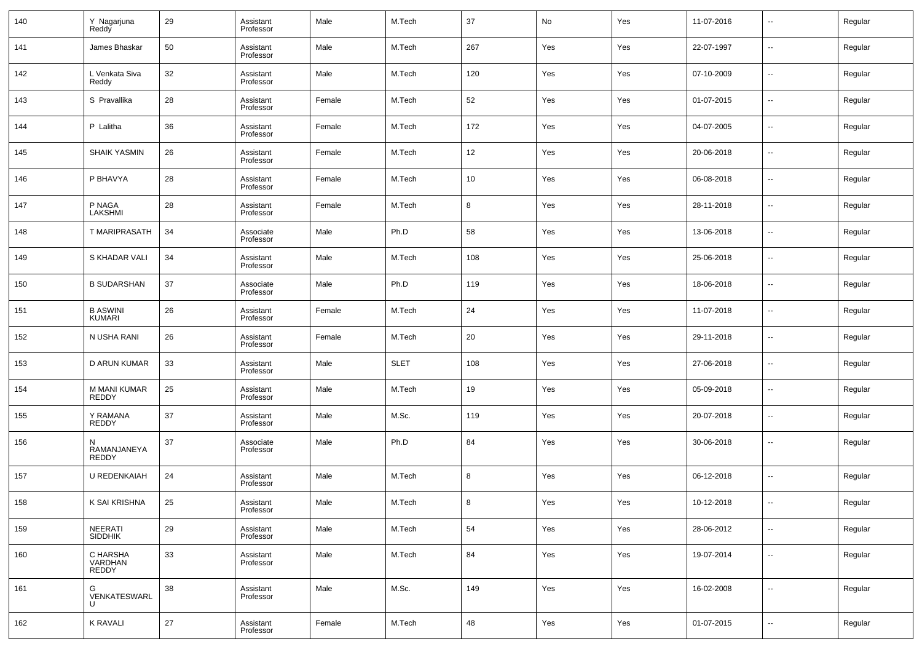| 140 | Y Nagarjuna<br>Reddy         | 29 | Assistant<br>Professor | Male   | M.Tech      | 37     | No  | Yes | 11-07-2016 | $\overline{\phantom{a}}$ | Regular |
|-----|------------------------------|----|------------------------|--------|-------------|--------|-----|-----|------------|--------------------------|---------|
| 141 | James Bhaskar                | 50 | Assistant<br>Professor | Male   | M.Tech      | 267    | Yes | Yes | 22-07-1997 | $\overline{\phantom{a}}$ | Regular |
| 142 | L Venkata Siva<br>Reddy      | 32 | Assistant<br>Professor | Male   | M.Tech      | 120    | Yes | Yes | 07-10-2009 | $\overline{\phantom{a}}$ | Regular |
| 143 | S Pravallika                 | 28 | Assistant<br>Professor | Female | M.Tech      | 52     | Yes | Yes | 01-07-2015 | $\overline{\phantom{a}}$ | Regular |
| 144 | P Lalitha                    | 36 | Assistant<br>Professor | Female | M.Tech      | 172    | Yes | Yes | 04-07-2005 | $\overline{\phantom{a}}$ | Regular |
| 145 | <b>SHAIK YASMIN</b>          | 26 | Assistant<br>Professor | Female | M.Tech      | 12     | Yes | Yes | 20-06-2018 | $\overline{\phantom{a}}$ | Regular |
| 146 | P BHAVYA                     | 28 | Assistant<br>Professor | Female | M.Tech      | 10     | Yes | Yes | 06-08-2018 | $\overline{\phantom{a}}$ | Regular |
| 147 | P NAGA<br>LAKSHMI            | 28 | Assistant<br>Professor | Female | M.Tech      | 8      | Yes | Yes | 28-11-2018 | $\overline{\phantom{a}}$ | Regular |
| 148 | <b>T MARIPRASATH</b>         | 34 | Associate<br>Professor | Male   | Ph.D        | 58     | Yes | Yes | 13-06-2018 | $\overline{\phantom{a}}$ | Regular |
| 149 | S KHADAR VALI                | 34 | Assistant<br>Professor | Male   | M.Tech      | 108    | Yes | Yes | 25-06-2018 | $\overline{\phantom{a}}$ | Regular |
| 150 | <b>B SUDARSHAN</b>           | 37 | Associate<br>Professor | Male   | Ph.D        | 119    | Yes | Yes | 18-06-2018 | $\overline{\phantom{a}}$ | Regular |
| 151 | <b>B ASWINI</b><br>KUMARI    | 26 | Assistant<br>Professor | Female | M.Tech      | 24     | Yes | Yes | 11-07-2018 | ш.                       | Regular |
| 152 | N USHA RANI                  | 26 | Assistant<br>Professor | Female | M.Tech      | 20     | Yes | Yes | 29-11-2018 | $\overline{\phantom{a}}$ | Regular |
| 153 | D ARUN KUMAR                 | 33 | Assistant<br>Professor | Male   | <b>SLET</b> | 108    | Yes | Yes | 27-06-2018 | ш.                       | Regular |
| 154 | M MANI KUMAR<br><b>REDDY</b> | 25 | Assistant<br>Professor | Male   | M.Tech      | 19     | Yes | Yes | 05-09-2018 | ш.                       | Regular |
| 155 | Y RAMANA<br><b>REDDY</b>     | 37 | Assistant<br>Professor | Male   | M.Sc.       | 119    | Yes | Yes | 20-07-2018 | --                       | Regular |
| 156 | N<br>RAMANJANEYA<br>REDDY    | 37 | Associate<br>Professor | Male   | Ph.D        | 84     | Yes | Yes | 30-06-2018 | --                       | Regular |
| 157 | U REDENKAIAH                 | 24 | Assistant<br>Professor | Male   | M.Tech      | 8      | Yes | Yes | 06-12-2018 | --                       | Regular |
| 158 | K SAI KRISHNA                | 25 | Assistant<br>Professor | Male   | M.Tech      | $\bf8$ | Yes | Yes | 10-12-2018 |                          | Regular |
| 159 | NEERATI<br>SIDDHIK           | 29 | Assistant<br>Professor | Male   | M.Tech      | 54     | Yes | Yes | 28-06-2012 | $\overline{\phantom{a}}$ | Regular |
| 160 | C HARSHA<br>VARDHAN<br>REDDY | 33 | Assistant<br>Professor | Male   | M.Tech      | 84     | Yes | Yes | 19-07-2014 | $\overline{\phantom{a}}$ | Regular |
| 161 | G<br>VENKATESWARL<br>U       | 38 | Assistant<br>Professor | Male   | M.Sc.       | 149    | Yes | Yes | 16-02-2008 | $\overline{\phantom{a}}$ | Regular |
| 162 | <b>K RAVALI</b>              | 27 | Assistant<br>Professor | Female | M.Tech      | 48     | Yes | Yes | 01-07-2015 | $\sim$                   | Regular |